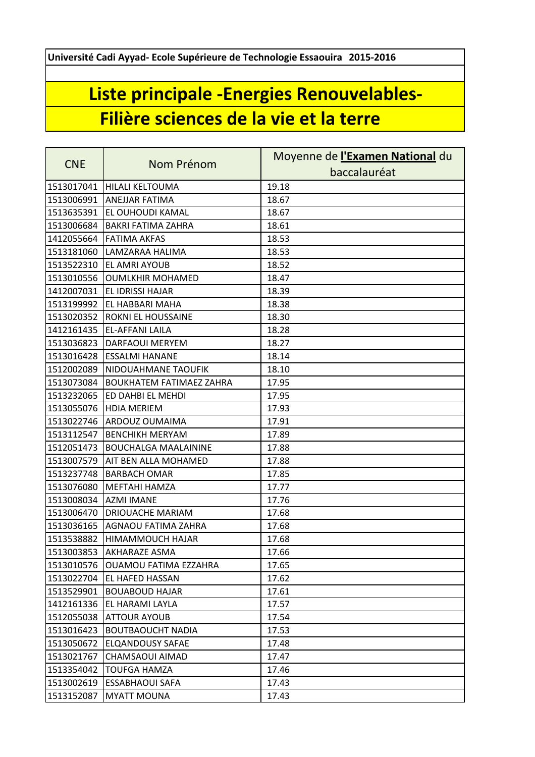**Université Cadi Ayyad- Ecole Supérieure de Technologie Essaouira 2015-2016**

## **Liste principale -Energies Renouvelables-Filière sciences de la vie et la terre**

| <b>CNE</b> | Nom Prénom                      | Moyenne de l'Examen National du |
|------------|---------------------------------|---------------------------------|
|            |                                 | baccalauréat                    |
| 1513017041 | <b>HILALI KELTOUMA</b>          | 19.18                           |
| 1513006991 | <b>ANEJJAR FATIMA</b>           | 18.67                           |
| 1513635391 | EL OUHOUDI KAMAL                | 18.67                           |
| 1513006684 | <b>BAKRI FATIMA ZAHRA</b>       | 18.61                           |
| 1412055664 | <b>FATIMA AKFAS</b>             | 18.53                           |
| 1513181060 | LAMZARAA HALIMA                 | 18.53                           |
| 1513522310 | <b>EL AMRI AYOUB</b>            | 18.52                           |
| 1513010556 | <b>OUMLKHIR MOHAMED</b>         | 18.47                           |
| 1412007031 | EL IDRISSI HAJAR                | 18.39                           |
| 1513199992 | <b>EL HABBARI MAHA</b>          | 18.38                           |
| 1513020352 | ROKNI EL HOUSSAINE              | 18.30                           |
| 1412161435 | EL-AFFANI LAILA                 | 18.28                           |
| 1513036823 | <b>DARFAOUI MERYEM</b>          | 18.27                           |
| 1513016428 | <b>ESSALMI HANANE</b>           | 18.14                           |
| 1512002089 | NIDOUAHMANE TAOUFIK             | 18.10                           |
| 1513073084 | <b>BOUKHATEM FATIMAEZ ZAHRA</b> | 17.95                           |
| 1513232065 | ED DAHBI EL MEHDI               | 17.95                           |
| 1513055076 | <b>HDIA MERIEM</b>              | 17.93                           |
| 1513022746 | <b>ARDOUZ OUMAIMA</b>           | 17.91                           |
| 1513112547 | <b>BENCHIKH MERYAM</b>          | 17.89                           |
| 1512051473 | <b>BOUCHALGA MAALAININE</b>     | 17.88                           |
| 1513007579 | AIT BEN ALLA MOHAMED            | 17.88                           |
| 1513237748 | <b>BARBACH OMAR</b>             | 17.85                           |
| 1513076080 | <b>MEFTAHI HAMZA</b>            | 17.77                           |
| 1513008034 | <b>AZMI IMANE</b>               | 17.76                           |
| 1513006470 | <b>DRIOUACHE MARIAM</b>         | 17.68                           |
| 1513036165 | AGNAOU FATIMA ZAHRA             | 17.68                           |
| 1513538882 | HIMAMMOUCH HAJAR                | 17.68                           |
|            | 1513003853 AKHARAZE ASMA        | 17.66                           |
| 1513010576 | OUAMOU FATIMA EZZAHRA           | 17.65                           |
| 1513022704 | <b>EL HAFED HASSAN</b>          | 17.62                           |
| 1513529901 | <b>BOUABOUD HAJAR</b>           | 17.61                           |
| 1412161336 | EL HARAMI LAYLA                 | 17.57                           |
| 1512055038 | <b>ATTOUR AYOUB</b>             | 17.54                           |
| 1513016423 | <b>BOUTBAOUCHT NADIA</b>        | 17.53                           |
| 1513050672 | <b>ELQANDOUSY SAFAE</b>         | 17.48                           |
| 1513021767 | CHAMSAOUI AIMAD                 | 17.47                           |
| 1513354042 | <b>TOUFGA HAMZA</b>             | 17.46                           |
| 1513002619 | <b>ESSABHAOUI SAFA</b>          | 17.43                           |
| 1513152087 | <b>MYATT MOUNA</b>              | 17.43                           |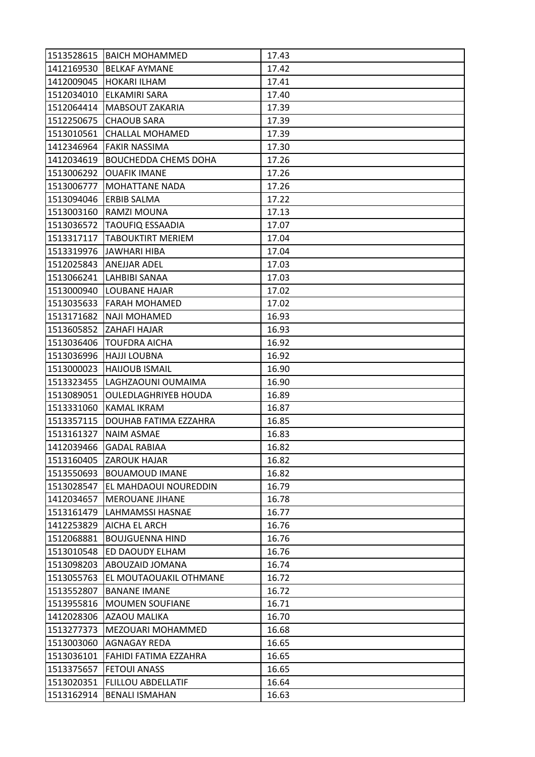|            | 1513528615   BAICH MOHAMMED  | 17.43 |
|------------|------------------------------|-------|
| 1412169530 | <b>BELKAF AYMANE</b>         | 17.42 |
| 1412009045 | <b>HOKARI ILHAM</b>          | 17.41 |
| 1512034010 | <b>ELKAMIRI SARA</b>         | 17.40 |
| 1512064414 | <b>MABSOUT ZAKARIA</b>       | 17.39 |
| 1512250675 | <b>CHAOUB SARA</b>           | 17.39 |
| 1513010561 | <b>CHALLAL MOHAMED</b>       | 17.39 |
| 1412346964 | <b>FAKIR NASSIMA</b>         | 17.30 |
| 1412034619 | <b>BOUCHEDDA CHEMS DOHA</b>  | 17.26 |
| 1513006292 | <b>OUAFIK IMANE</b>          | 17.26 |
| 1513006777 | <b>MOHATTANE NADA</b>        | 17.26 |
| 1513094046 | <b>ERBIB SALMA</b>           | 17.22 |
| 1513003160 | RAMZI MOUNA                  | 17.13 |
| 1513036572 | <b>TAOUFIQ ESSAADIA</b>      | 17.07 |
| 1513317117 | <b>TABOUKTIRT MERIEM</b>     | 17.04 |
|            | 1513319976 JAWHARI HIBA      | 17.04 |
| 1512025843 | <b>ANEJJAR ADEL</b>          | 17.03 |
| 1513066241 | <b>LAHBIBI SANAA</b>         | 17.03 |
| 1513000940 | <b>LOUBANE HAJAR</b>         | 17.02 |
| 1513035633 | <b>FARAH MOHAMED</b>         | 17.02 |
| 1513171682 | <b>NAJI MOHAMED</b>          | 16.93 |
| 1513605852 | <b>ZAHAFI HAJAR</b>          | 16.93 |
| 1513036406 | <b>TOUFDRA AICHA</b>         | 16.92 |
| 1513036996 | <b>HAJJI LOUBNA</b>          | 16.92 |
| 1513000023 | <b>HAIJOUB ISMAIL</b>        | 16.90 |
| 1513323455 | LAGHZAOUNI OUMAIMA           | 16.90 |
| 1513089051 | <b>OULEDLAGHRIYEB HOUDA</b>  | 16.89 |
| 1513331060 | <b>KAMAL IKRAM</b>           | 16.87 |
| 1513357115 | <b>DOUHAB FATIMA EZZAHRA</b> | 16.85 |
| 1513161327 | NAIM ASMAE                   | 16.83 |
| 1412039466 | <b>GADAL RABIAA</b>          | 16.82 |
|            | 1513160405 ZAROUK HAJAR      | 16.82 |
| 1513550693 | <b>BOUAMOUD IMANE</b>        | 16.82 |
| 1513028547 | EL MAHDAOUI NOUREDDIN        | 16.79 |
| 1412034657 | <b>MEROUANE JIHANE</b>       | 16.78 |
| 1513161479 | <b>LAHMAMSSI HASNAE</b>      | 16.77 |
| 1412253829 | AICHA EL ARCH                | 16.76 |
| 1512068881 | <b>BOUJGUENNA HIND</b>       | 16.76 |
| 1513010548 | ED DAOUDY ELHAM              | 16.76 |
| 1513098203 | ABOUZAID JOMANA              | 16.74 |
| 1513055763 | EL MOUTAOUAKIL OTHMANE       | 16.72 |
| 1513552807 | <b>BANANE IMANE</b>          | 16.72 |
| 1513955816 | <b>MOUMEN SOUFIANE</b>       | 16.71 |
| 1412028306 | <b>AZAOU MALIKA</b>          | 16.70 |
| 1513277373 | <b>MEZOUARI MOHAMMED</b>     | 16.68 |
| 1513003060 | AGNAGAY REDA                 | 16.65 |
| 1513036101 | FAHIDI FATIMA EZZAHRA        | 16.65 |
| 1513375657 | <b>FETOUI ANASS</b>          | 16.65 |
| 1513020351 | <b>FLILLOU ABDELLATIF</b>    | 16.64 |
| 1513162914 | <b>BENALI ISMAHAN</b>        | 16.63 |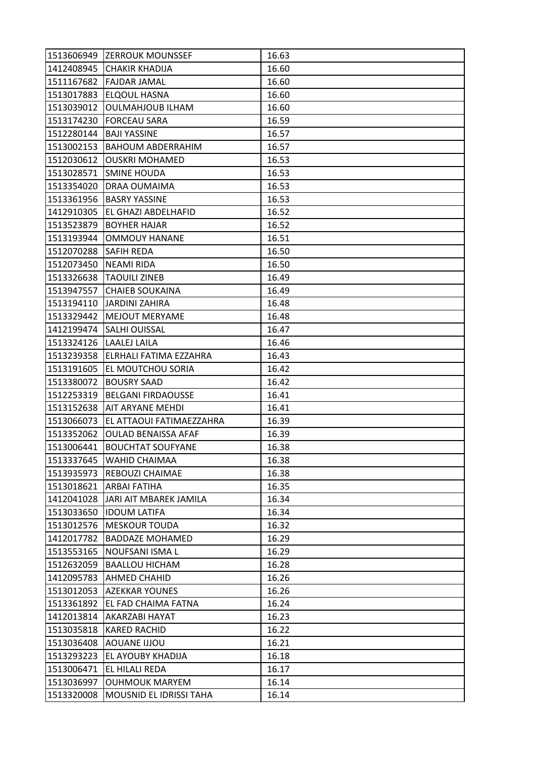|                       | 1513606949 ZERROUK MOUNSSEF | 16.63 |
|-----------------------|-----------------------------|-------|
|                       | 1412408945 CHAKIR KHADIJA   | 16.60 |
|                       | 1511167682 FAJDAR JAMAL     | 16.60 |
| 1513017883            | <b>ELQOUL HASNA</b>         | 16.60 |
| 1513039012            | <b>OULMAHJOUB ILHAM</b>     | 16.60 |
| 1513174230            | <b>FORCEAU SARA</b>         | 16.59 |
| 1512280144            | <b>BAJI YASSINE</b>         | 16.57 |
| 1513002153            | <b>BAHOUM ABDERRAHIM</b>    | 16.57 |
| 1512030612            | <b>OUSKRI MOHAMED</b>       | 16.53 |
| 1513028571            | <b>ISMINE HOUDA</b>         | 16.53 |
| 1513354020            | DRAA OUMAIMA                | 16.53 |
| 1513361956            | <b>BASRY YASSINE</b>        | 16.53 |
| 1412910305            | EL GHAZI ABDELHAFID         | 16.52 |
| 1513523879            | <b>BOYHER HAJAR</b>         | 16.52 |
| 1513193944            | <b>OMMOUY HANANE</b>        | 16.51 |
| 1512070288 SAFIH REDA |                             | 16.50 |
| 1512073450            | NEAMI RIDA                  | 16.50 |
| 1513326638            | <b>TAOUILI ZINEB</b>        | 16.49 |
| 1513947557            | <b>CHAIEB SOUKAINA</b>      | 16.49 |
| 1513194110            | <b>JARDINI ZAHIRA</b>       | 16.48 |
| 1513329442            | <b>MEJOUT MERYAME</b>       | 16.48 |
| 1412199474            | <b>SALHI OUISSAL</b>        | 16.47 |
| 1513324126            | LAALEJ LAILA                | 16.46 |
| 1513239358            | ELRHALI FATIMA EZZAHRA      | 16.43 |
| 1513191605            | <b>EL MOUTCHOU SORIA</b>    | 16.42 |
| 1513380072            | <b>BOUSRY SAAD</b>          | 16.42 |
| 1512253319            | <b>BELGANI FIRDAOUSSE</b>   | 16.41 |
| 1513152638            | AIT ARYANE MEHDI            | 16.41 |
| 1513066073            | EL ATTAOUI FATIMAEZZAHRA    | 16.39 |
| 1513352062            | <b>OULAD BENAISSA AFAF</b>  | 16.39 |
| 1513006441            | <b>BOUCHTAT SOUFYANE</b>    | 16.38 |
| 1513337645            | <b>WAHID CHAIMAA</b>        | 16.38 |
| 1513935973            | REBOUZI CHAIMAE             | 16.38 |
| 1513018621            | <b>ARBAI FATIHA</b>         | 16.35 |
| 1412041028            | JARI AIT MBAREK JAMILA      | 16.34 |
| 1513033650            | <b>IDOUM LATIFA</b>         | 16.34 |
| 1513012576            | <b>MESKOUR TOUDA</b>        | 16.32 |
| 1412017782            | <b>BADDAZE MOHAMED</b>      | 16.29 |
| 1513553165            | NOUFSANI ISMA L             | 16.29 |
| 1512632059            | <b>BAALLOU HICHAM</b>       | 16.28 |
| 1412095783            | <b>AHMED CHAHID</b>         | 16.26 |
| 1513012053            | <b>AZEKKAR YOUNES</b>       | 16.26 |
| 1513361892            | <b>EL FAD CHAIMA FATNA</b>  | 16.24 |
| 1412013814            | AKARZABI HAYAT              | 16.23 |
| 1513035818            | <b>KARED RACHID</b>         | 16.22 |
| 1513036408            | AOUANE IJJOU                | 16.21 |
| 1513293223            | <b>EL AYOUBY KHADIJA</b>    | 16.18 |
| 1513006471            | EL HILALI REDA              | 16.17 |
| 1513036997            | <b>OUHMOUK MARYEM</b>       | 16.14 |
|                       |                             |       |